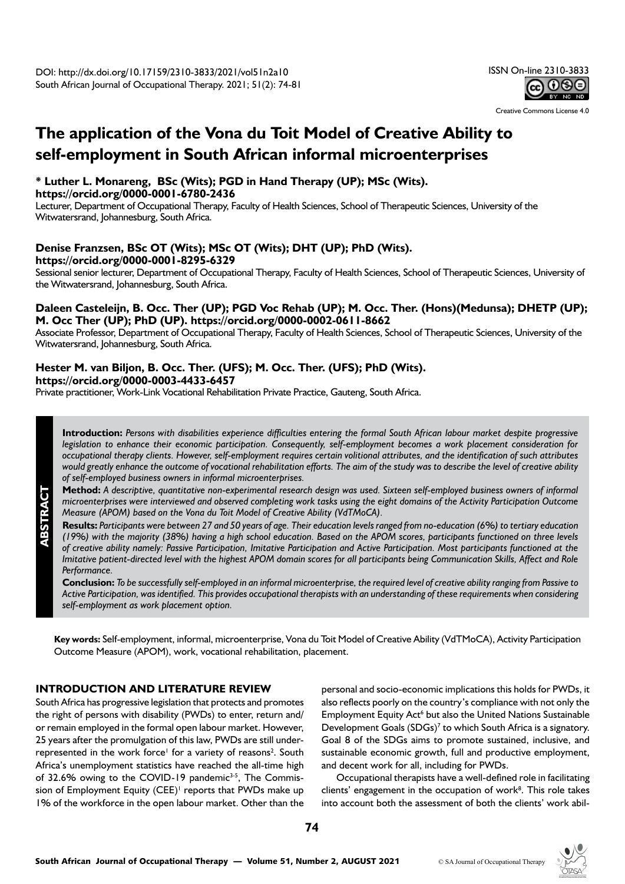

Creative Commons License 4.0

# **The application of the Vona du Toit Model of Creative Ability to self-employment in South African informal microenterprises**

#### **\* Luther L. Monareng, BSc (Wits); PGD in Hand Therapy (UP); MSc (Wits). <https://orcid.org/0000-0001-6780-2436>**

Lecturer, Department of Occupational Therapy, Faculty of Health Sciences, School of Therapeutic Sciences, University of the Witwatersrand, Johannesburg, South Africa.

## **Denise Franzsen, BSc OT (Wits); MSc OT (Wits); DHT (UP); PhD (Wits). <https://orcid.org/0000-0001-8295-6329>**

Sessional senior lecturer, Department of Occupational Therapy, Faculty of Health Sciences, School of Therapeutic Sciences, University of the Witwatersrand, Johannesburg, South Africa.

## **Daleen Casteleijn, B. Occ. Ther (UP); PGD Voc Rehab (UP); M. Occ. Ther. (Hons)(Medunsa); DHETP (UP); M. Occ Ther (UP); PhD (UP). https://orcid.org/0000-0002-0611-8662**

Associate Professor, Department of Occupational Therapy, Faculty of Health Sciences, School of Therapeutic Sciences, University of the Witwatersrand, Johannesburg, South Africa.

#### **Hester M. van Biljon, B. Occ. Ther. (UFS); M. Occ. Ther. (UFS); PhD (Wits). [https://orcid.org/0000-0003-4433-6457](https://orcid.org/0000-0003-4433-6457%20)**

Private practitioner, Work-Link Vocational Rehabilitation Private Practice, Gauteng, South Africa.

**Introduction:** *Persons with disabilities experience difficulties entering the formal South African labour market despite progressive legislation to enhance their economic participation. Consequently, self-employment becomes a work placement consideration for occupational therapy clients. However, self-employment requires certain volitional attributes, and the identification of such attributes would greatly enhance the outcome of vocational rehabilitation efforts. The aim of the study was to describe the level of creative ability of self-employed business owners in informal microenterprises.*

**Method:** *A descriptive, quantitative non-experimental research design was used. Sixteen self-employed business owners of informal microenterprises were interviewed and observed completing work tasks using the eight domains of the Activity Participation Outcome Measure (APOM) based on the Vona du Toit Model of Creative Ability (VdTMoCA).* 

**Results:** *Participants were between 27 and 50 years of age. Their education levels ranged from no-education (6%) to tertiary education (19%) with the majority (38%) having a high school education. Based on the APOM scores, participants functioned on three levels of creative ability namely: Passive Participation, Imitative Participation and Active Participation. Most participants functioned at the Imitative patient-directed level with the highest APOM domain scores for all participants being Communication Skills, Affect and Role Performance.*

**Conclusion:** *To be successfully self-employed in an informal microenterprise, the required level of creative ability ranging from Passive to Active Participation, was identified. This provides occupational therapists with an understanding of these requirements when considering self-employment as work placement option.* 

**Key words:** Self-employment, informal, microenterprise, Vona du Toit Model of Creative Ability (VdTMoCA), Activity Participation Outcome Measure (APOM), work, vocational rehabilitation, placement.

# **INTRODUCTION AND LITERATURE REVIEW**

South Africa has progressive legislation that protects and promotes the right of persons with disability (PWDs) to enter, return and/ or remain employed in the formal open labour market. However, 25 years after the promulgation of this law, PWDs are still underrepresented in the work force<sup>1</sup> for a variety of reasons<sup>2</sup>. South Africa's unemployment statistics have reached the all-time high of  $32.6\%$  owing to the COVID-19 pandemic<sup>3-5</sup>, The Commission of Employment Equity  $(CEE)^{1}$  reports that PWDs make up 1% of the workforce in the open labour market. Other than the personal and socio-economic implications this holds for PWDs, it also reflects poorly on the country's compliance with not only the Employment Equity Act<sup>6</sup> but also the United Nations Sustainable Development Goals  $(SDGs)^7$  to which South Africa is a signatory. Goal 8 of the SDGs aims to promote sustained, inclusive, and sustainable economic growth, full and productive employment, and decent work for all, including for PWDs.

Occupational therapists have a well-defined role in facilitating clients' engagement in the occupation of work<sup>8</sup>. This role takes into account both the assessment of both the clients' work abil-



**ABSTRACT**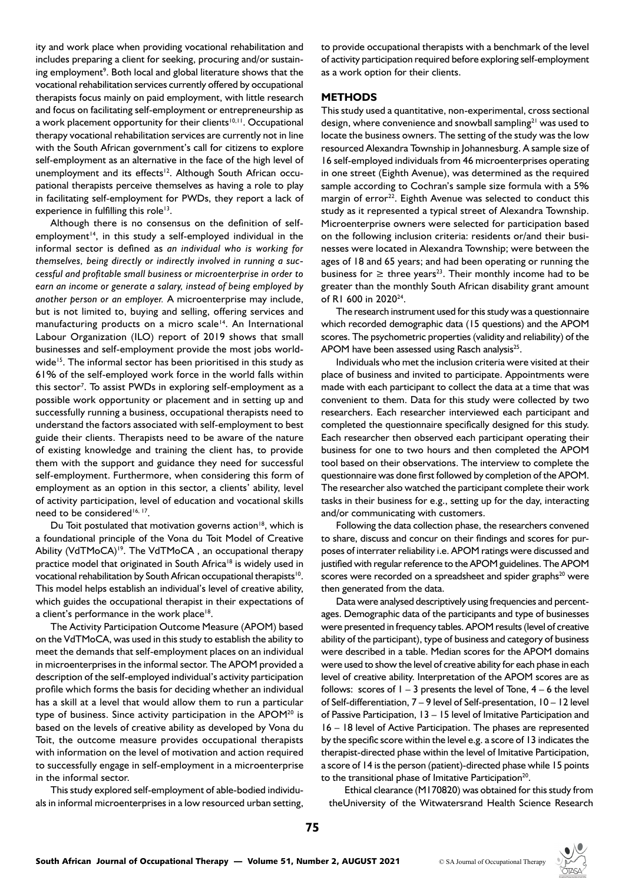ity and work place when providing vocational rehabilitation and includes preparing a client for seeking, procuring and/or sustaining employment<sup>9</sup>. Both local and global literature shows that the vocational rehabilitation services currently offered by occupational therapists focus mainly on paid employment, with little research and focus on facilitating self-employment or entrepreneurship as a work placement opportunity for their clients<sup>10,11</sup>. Occupational therapy vocational rehabilitation services are currently not in line with the South African government's call for citizens to explore self-employment as an alternative in the face of the high level of unemployment and its effects<sup>12</sup>. Although South African occupational therapists perceive themselves as having a role to play in facilitating self-employment for PWDs, they report a lack of experience in fulfilling this role<sup>13</sup>.

Although there is no consensus on the definition of selfemployment<sup>14</sup>, in this study a self-employed individual in the informal sector is defined as *an individual who is working for themselves, being directly or indirectly involved in running a successful and profitable small business or microenterprise in order to earn an income or generate a salary, instead of being employed by another person or an employer.* A microenterprise may include, but is not limited to, buying and selling, offering services and manufacturing products on a micro scale<sup>14</sup>. An International Labour Organization (ILO) report of 2019 shows that small businesses and self-employment provide the most jobs worldwide<sup>15</sup>. The informal sector has been prioritised in this study as 61% of the self-employed work force in the world falls within this sector<sup>7</sup>. To assist PWDs in exploring self-employment as a possible work opportunity or placement and in setting up and successfully running a business, occupational therapists need to understand the factors associated with self-employment to best guide their clients. Therapists need to be aware of the nature of existing knowledge and training the client has, to provide them with the support and guidance they need for successful self-employment. Furthermore, when considering this form of employment as an option in this sector, a clients' ability, level of activity participation, level of education and vocational skills need to be considered<sup>16, 17</sup>.

Du Toit postulated that motivation governs action<sup>18</sup>, which is a foundational principle of the Vona du Toit Model of Creative Ability (VdTMoCA)<sup>19</sup>. The VdTMoCA, an occupational therapy practice model that originated in South Africa<sup>18</sup> is widely used in vocational rehabilitation by South African occupational therapists<sup>10</sup>. This model helps establish an individual's level of creative ability, which guides the occupational therapist in their expectations of a client's performance in the work place<sup>18</sup>.

The Activity Participation Outcome Measure (APOM) based on the VdTMoCA, was used in this study to establish the ability to meet the demands that self-employment places on an individual in microenterprises in the informal sector. The APOM provided a description of the self-employed individual's activity participation profile which forms the basis for deciding whether an individual has a skill at a level that would allow them to run a particular type of business. Since activity participation in the APOM<sup>20</sup> is based on the levels of creative ability as developed by Vona du Toit, the outcome measure provides occupational therapists with information on the level of motivation and action required to successfully engage in self-employment in a microenterprise in the informal sector.

This study explored self-employment of able-bodied individuals in informal microenterprises in a low resourced urban setting, to provide occupational therapists with a benchmark of the level of activity participation required before exploring self-employment as a work option for their clients.

#### **METHODS**

This study used a quantitative, non-experimental, cross sectional design, where convenience and snowball sampling<sup>21</sup> was used to locate the business owners. The setting of the study was the low resourced Alexandra Township in Johannesburg. A sample size of 16 self-employed individuals from 46 microenterprises operating in one street (Eighth Avenue), was determined as the required sample according to Cochran's sample size formula with a 5% margin of error<sup>22</sup>. Eighth Avenue was selected to conduct this study as it represented a typical street of Alexandra Township. Microenterprise owners were selected for participation based on the following inclusion criteria: residents or/and their businesses were located in Alexandra Township; were between the ages of 18 and 65 years; and had been operating or running the business for  $\geq$  three years<sup>23</sup>. Their monthly income had to be greater than the monthly South African disability grant amount of RI 600 in 2020<sup>24</sup>.

The research instrument used for this study was a questionnaire which recorded demographic data (15 questions) and the APOM scores. The psychometric properties (validity and reliability) of the APOM have been assessed using Rasch analysis<sup>25</sup>.

Individuals who met the inclusion criteria were visited at their place of business and invited to participate. Appointments were made with each participant to collect the data at a time that was convenient to them. Data for this study were collected by two researchers. Each researcher interviewed each participant and completed the questionnaire specifically designed for this study. Each researcher then observed each participant operating their business for one to two hours and then completed the APOM tool based on their observations. The interview to complete the questionnaire was done first followed by completion of the APOM. The researcher also watched the participant complete their work tasks in their business for e.g., setting up for the day, interacting and/or communicating with customers.

Following the data collection phase, the researchers convened to share, discuss and concur on their findings and scores for purposes of interrater reliability i.e. APOM ratings were discussed and justified with regular reference to the APOM guidelines. The APOM scores were recorded on a spreadsheet and spider graphs<sup>20</sup> were then generated from the data.

Data were analysed descriptively using frequencies and percentages. Demographic data of the participants and type of businesses were presented in frequency tables. APOM results (level of creative ability of the participant), type of business and category of business were described in a table. Median scores for the APOM domains were used to show the level of creative ability for each phase in each level of creative ability. Interpretation of the APOM scores are as follows: scores of  $1 - 3$  presents the level of Tone,  $4 - 6$  the level of Self-differentiation, 7 – 9 level of Self-presentation, 10 – 12 level of Passive Participation, 13 – 15 level of Imitative Participation and 16 – 18 level of Active Participation. The phases are represented by the specific score within the level e.g. a score of 13 indicates the therapist-directed phase within the level of Imitative Participation, a score of 14 is the person (patient)-directed phase while 15 points to the transitional phase of Imitative Participation<sup>20</sup>.

Ethical clearance (M170820) was obtained for this study from theUniversity of the Witwatersrand Health Science Research

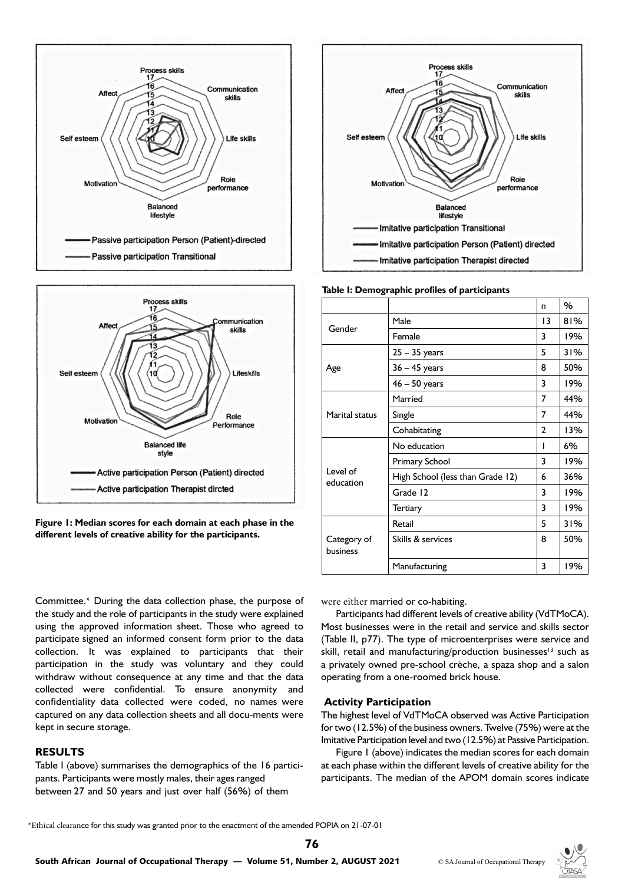



**Figure 1: Median scores for each domain at each phase in the different levels of creative ability for the participants.**

Committee.\* During the data collection phase, the purpose of the study and the role of participants in the study were explained using the approved information sheet. Those who agreed to participate signed an informed consent form prior to the data collection. It was explained to participants that their participation in the study was voluntary and they could withdraw without consequence at any time and that the data collected were confidential. To ensure anonymity and confidentiality data collected were coded, no names were captured on any data collection sheets and all docu-ments were kept in secure storage.

#### **RESULTS**

Table I (above) summarises the demographics of the 16 participants. Participants were mostly males, their ages ranged between 27 and 50 years and just over half (56%) of them



**Table I: Demographic profiles of participants**

|                         |                                  | n  | %   |
|-------------------------|----------------------------------|----|-----|
| Gender                  | Male                             | 13 | 81% |
|                         | Female                           | 3  | 19% |
| Age                     | 25 - 35 years                    | 5  | 31% |
|                         | 36 - 45 years                    | 8  | 50% |
|                         | $46 - 50$ years                  | 3  | 19% |
| Marital status          | Married                          | 7  | 44% |
|                         | Single                           | 7  | 44% |
|                         | Cohabitating                     | 2  | 13% |
| Level of<br>education   | No education                     | ı  | 6%  |
|                         | Primary School                   | 3  | 19% |
|                         | High School (less than Grade 12) | 6  | 36% |
|                         | Grade 12                         | 3  | 19% |
|                         | Tertiary                         | 3  | 19% |
| Category of<br>business | Retail                           | 5  | 31% |
|                         | Skills & services                | 8  | 50% |
|                         | Manufacturing                    | 3  | 19% |

were either married or co-habiting.

Participants had different levels of creative ability (VdTMoCA). Most businesses were in the retail and service and skills sector (Table II, p77). The type of microenterprises were service and skill, retail and manufacturing/production businesses<sup>13</sup> such as a privately owned pre-school crèche, a spaza shop and a salon operating from a one-roomed brick house.

# **Activity Participation**

The highest level of VdTMoCA observed was Active Participation for two (12.5%) of the business owners. Twelve (75%) were at the Imitative Participation level and two (12.5%) at Passive Participation.

Figure 1 (above) indicates the median scores for each domain at each phase within the different levels of creative ability for the participants. The median of the APOM domain scores indicate

\*Ethical clearance for this study was granted prior to the enactment of the amended POPIA on 21-07-01

**76**

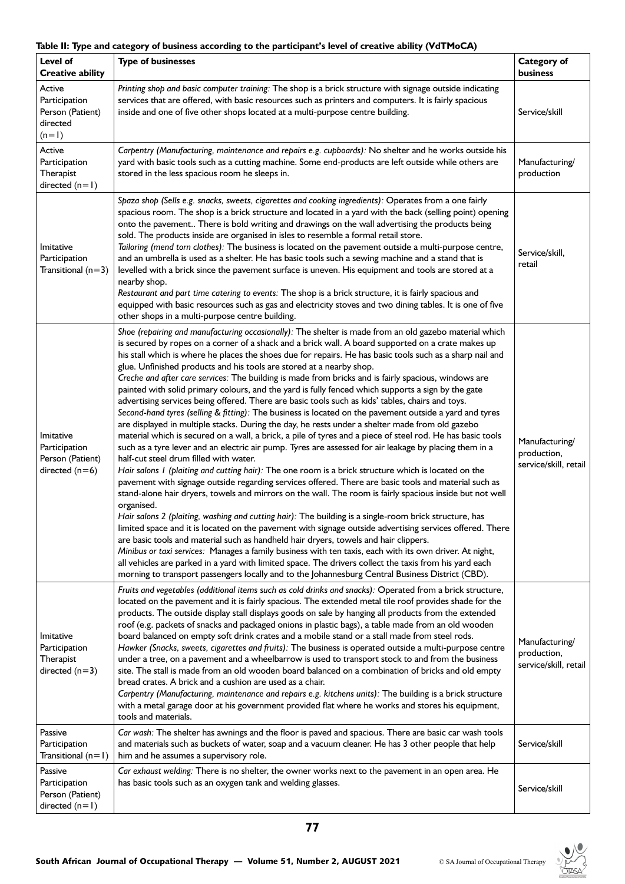# **Table II: Type and category of business according to the participant's level of creative ability (VdTMoCA)**

| Level of<br><b>Creative ability</b>                                | <b>Type of businesses</b>                                                                                                                                                                                                                                                                                                                                                                                                                                                                                                                                                                                                                                                                                                                                                                                                                                                                                                                                                                                                                                                                                                                                                                                                                                                                                                                                                                                                                                                                                                                                                                                                                                                                                                                                                                                                                                                                                                                                                                                                                                                                                                                                                            | Category of<br>business                                |
|--------------------------------------------------------------------|--------------------------------------------------------------------------------------------------------------------------------------------------------------------------------------------------------------------------------------------------------------------------------------------------------------------------------------------------------------------------------------------------------------------------------------------------------------------------------------------------------------------------------------------------------------------------------------------------------------------------------------------------------------------------------------------------------------------------------------------------------------------------------------------------------------------------------------------------------------------------------------------------------------------------------------------------------------------------------------------------------------------------------------------------------------------------------------------------------------------------------------------------------------------------------------------------------------------------------------------------------------------------------------------------------------------------------------------------------------------------------------------------------------------------------------------------------------------------------------------------------------------------------------------------------------------------------------------------------------------------------------------------------------------------------------------------------------------------------------------------------------------------------------------------------------------------------------------------------------------------------------------------------------------------------------------------------------------------------------------------------------------------------------------------------------------------------------------------------------------------------------------------------------------------------------|--------------------------------------------------------|
| Active<br>Participation<br>Person (Patient)<br>directed<br>$(n=1)$ | Printing shop and basic computer training: The shop is a brick structure with signage outside indicating<br>services that are offered, with basic resources such as printers and computers. It is fairly spacious<br>inside and one of five other shops located at a multi-purpose centre building.                                                                                                                                                                                                                                                                                                                                                                                                                                                                                                                                                                                                                                                                                                                                                                                                                                                                                                                                                                                                                                                                                                                                                                                                                                                                                                                                                                                                                                                                                                                                                                                                                                                                                                                                                                                                                                                                                  | Service/skill                                          |
| Active<br>Participation<br>Therapist<br>directed $(n=1)$           | Carpentry (Manufacturing, maintenance and repairs e.g. cupboards): No shelter and he works outside his<br>yard with basic tools such as a cutting machine. Some end-products are left outside while others are<br>stored in the less spacious room he sleeps in.                                                                                                                                                                                                                                                                                                                                                                                                                                                                                                                                                                                                                                                                                                                                                                                                                                                                                                                                                                                                                                                                                                                                                                                                                                                                                                                                                                                                                                                                                                                                                                                                                                                                                                                                                                                                                                                                                                                     | Manufacturing/<br>production                           |
| Imitative<br>Participation<br>Transitional $(n=3)$                 | Spaza shop (Sells e.g. snacks, sweets, cigarettes and cooking ingredients): Operates from a one fairly<br>spacious room. The shop is a brick structure and located in a yard with the back (selling point) opening<br>onto the pavement There is bold writing and drawings on the wall advertising the products being<br>sold. The products inside are organised in isles to resemble a formal retail store.<br>Tailoring (mend torn clothes): The business is located on the pavement outside a multi-purpose centre,<br>and an umbrella is used as a shelter. He has basic tools such a sewing machine and a stand that is<br>levelled with a brick since the pavement surface is uneven. His equipment and tools are stored at a<br>nearby shop.<br>Restaurant and part time catering to events: The shop is a brick structure, it is fairly spacious and<br>equipped with basic resources such as gas and electricity stoves and two dining tables. It is one of five<br>other shops in a multi-purpose centre building.                                                                                                                                                                                                                                                                                                                                                                                                                                                                                                                                                                                                                                                                                                                                                                                                                                                                                                                                                                                                                                                                                                                                                         | Service/skill,<br>retail                               |
| Imitative<br>Participation<br>Person (Patient)<br>directed $(n=6)$ | Shoe (repairing and manufacturing occasionally): The shelter is made from an old gazebo material which<br>is secured by ropes on a corner of a shack and a brick wall. A board supported on a crate makes up<br>his stall which is where he places the shoes due for repairs. He has basic tools such as a sharp nail and<br>glue. Unfinished products and his tools are stored at a nearby shop.<br>Creche and after care services: The building is made from bricks and is fairly spacious, windows are<br>painted with solid primary colours, and the yard is fully fenced which supports a sign by the gate<br>advertising services being offered. There are basic tools such as kids' tables, chairs and toys.<br>Second-hand tyres (selling & fitting): The business is located on the pavement outside a yard and tyres<br>are displayed in multiple stacks. During the day, he rests under a shelter made from old gazebo<br>material which is secured on a wall, a brick, a pile of tyres and a piece of steel rod. He has basic tools<br>such as a tyre lever and an electric air pump. Tyres are assessed for air leakage by placing them in a<br>half-cut steel drum filled with water.<br>Hair salons I (plaiting and cutting hair): The one room is a brick structure which is located on the<br>pavement with signage outside regarding services offered. There are basic tools and material such as<br>stand-alone hair dryers, towels and mirrors on the wall. The room is fairly spacious inside but not well<br>organised.<br>Hair salons 2 (plaiting, washing and cutting hair): The building is a single-room brick structure, has<br>limited space and it is located on the pavement with signage outside advertising services offered. There<br>are basic tools and material such as handheld hair dryers, towels and hair clippers.<br>Minibus or taxi services: Manages a family business with ten taxis, each with its own driver. At night,<br>all vehicles are parked in a yard with limited space. The drivers collect the taxis from his yard each<br>morning to transport passengers locally and to the Johannesburg Central Business District (CBD). | Manufacturing/<br>production,<br>service/skill, retail |
| Imitative<br>Participation<br>Therapist<br>directed $(n=3)$        | Fruits and vegetables (additional items such as cold drinks and snacks): Operated from a brick structure,<br>located on the pavement and it is fairly spacious. The extended metal tile roof provides shade for the<br>products. The outside display stall displays goods on sale by hanging all products from the extended<br>roof (e.g. packets of snacks and packaged onions in plastic bags), a table made from an old wooden<br>board balanced on empty soft drink crates and a mobile stand or a stall made from steel rods.<br>Hawker (Snacks, sweets, cigarettes and fruits): The business is operated outside a multi-purpose centre<br>under a tree, on a pavement and a wheelbarrow is used to transport stock to and from the business<br>site. The stall is made from an old wooden board balanced on a combination of bricks and old empty<br>bread crates. A brick and a cushion are used as a chair.<br>Carpentry (Manufacturing, maintenance and repairs e.g. kitchens units): The building is a brick structure<br>with a metal garage door at his government provided flat where he works and stores his equipment,<br>tools and materials.                                                                                                                                                                                                                                                                                                                                                                                                                                                                                                                                                                                                                                                                                                                                                                                                                                                                                                                                                                                                                       | Manufacturing/<br>production,<br>service/skill, retail |
| Passive<br>Participation<br>Transitional $(n=1)$                   | Car wash: The shelter has awnings and the floor is paved and spacious. There are basic car wash tools<br>and materials such as buckets of water, soap and a vacuum cleaner. He has 3 other people that help<br>him and he assumes a supervisory role.                                                                                                                                                                                                                                                                                                                                                                                                                                                                                                                                                                                                                                                                                                                                                                                                                                                                                                                                                                                                                                                                                                                                                                                                                                                                                                                                                                                                                                                                                                                                                                                                                                                                                                                                                                                                                                                                                                                                | Service/skill                                          |
| Passive<br>Participation<br>Person (Patient)<br>directed $(n=1)$   | Car exhaust welding: There is no shelter, the owner works next to the pavement in an open area. He<br>has basic tools such as an oxygen tank and welding glasses.                                                                                                                                                                                                                                                                                                                                                                                                                                                                                                                                                                                                                                                                                                                                                                                                                                                                                                                                                                                                                                                                                                                                                                                                                                                                                                                                                                                                                                                                                                                                                                                                                                                                                                                                                                                                                                                                                                                                                                                                                    | Service/skill                                          |

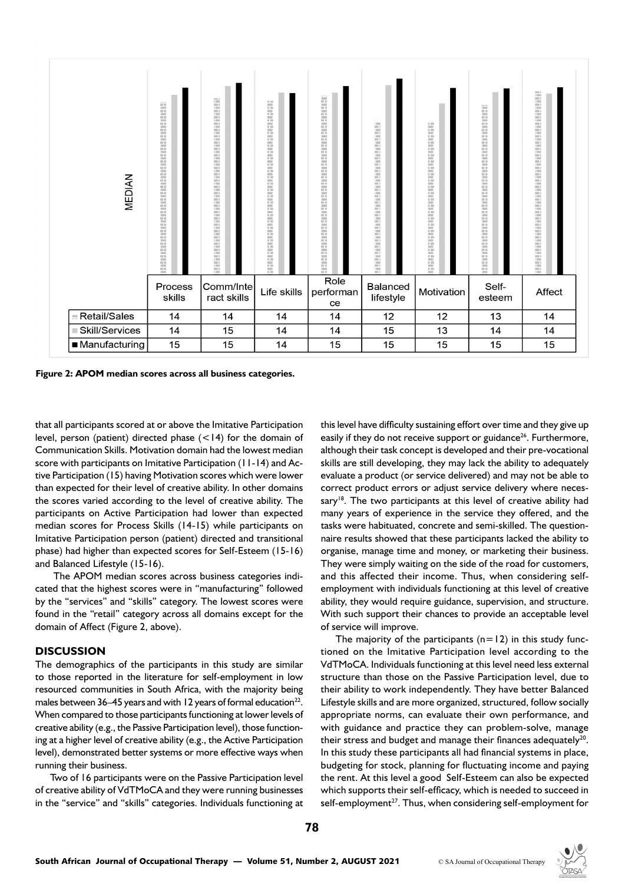

**Figure 2: APOM median scores across all business categories.**

that all participants scored at or above the Imitative Participation level, person (patient) directed phase (<14) for the domain of Communication Skills. Motivation domain had the lowest median score with participants on Imitative Participation (11-14) and Active Participation (15) having Motivation scores which were lower than expected for their level of creative ability. In other domains the scores varied according to the level of creative ability. The participants on Active Participation had lower than expected median scores for Process Skills (14-15) while participants on Imitative Participation person (patient) directed and transitional phase) had higher than expected scores for Self-Esteem (15-16) and Balanced Lifestyle (15-16).

 The APOM median scores across business categories indicated that the highest scores were in "manufacturing" followed by the "services" and "skills" category. The lowest scores were found in the "retail" category across all domains except for the domain of Affect (Figure 2, above).

#### **DISCUSSION**

The demographics of the participants in this study are similar to those reported in the literature for self-employment in low resourced communities in South Africa, with the majority being males between 36–45 years and with 12 years of formal education<sup>22</sup>. When compared to those participants functioning at lower levels of creative ability (e.g., the Passive Participation level), those functioning at a higher level of creative ability (e.g., the Active Participation level), demonstrated better systems or more effective ways when running their business.

Two of 16 participants were on the Passive Participation level of creative ability of VdTMoCA and they were running businesses in the "service" and "skills" categories. Individuals functioning at this level have difficulty sustaining effort over time and they give up easily if they do not receive support or guidance<sup>26</sup>. Furthermore, although their task concept is developed and their pre-vocational skills are still developing, they may lack the ability to adequately evaluate a product (or service delivered) and may not be able to correct product errors or adjust service delivery where necessary<sup>18</sup>. The two participants at this level of creative ability had many years of experience in the service they offered, and the tasks were habituated, concrete and semi-skilled. The questionnaire results showed that these participants lacked the ability to organise, manage time and money, or marketing their business. They were simply waiting on the side of the road for customers, and this affected their income. Thus, when considering selfemployment with individuals functioning at this level of creative ability, they would require guidance, supervision, and structure. With such support their chances to provide an acceptable level of service will improve.

The majority of the participants  $(n=12)$  in this study functioned on the Imitative Participation level according to the VdTMoCA. Individuals functioning at this level need less external structure than those on the Passive Participation level, due to their ability to work independently. They have better Balanced Lifestyle skills and are more organized, structured, follow socially appropriate norms, can evaluate their own performance, and with guidance and practice they can problem-solve, manage their stress and budget and manage their finances adequately $20$ . In this study these participants all had financial systems in place, budgeting for stock, planning for fluctuating income and paying the rent. At this level a good Self-Esteem can also be expected which supports their self-efficacy, which is needed to succeed in self-employment<sup>27</sup>. Thus, when considering self-employment for

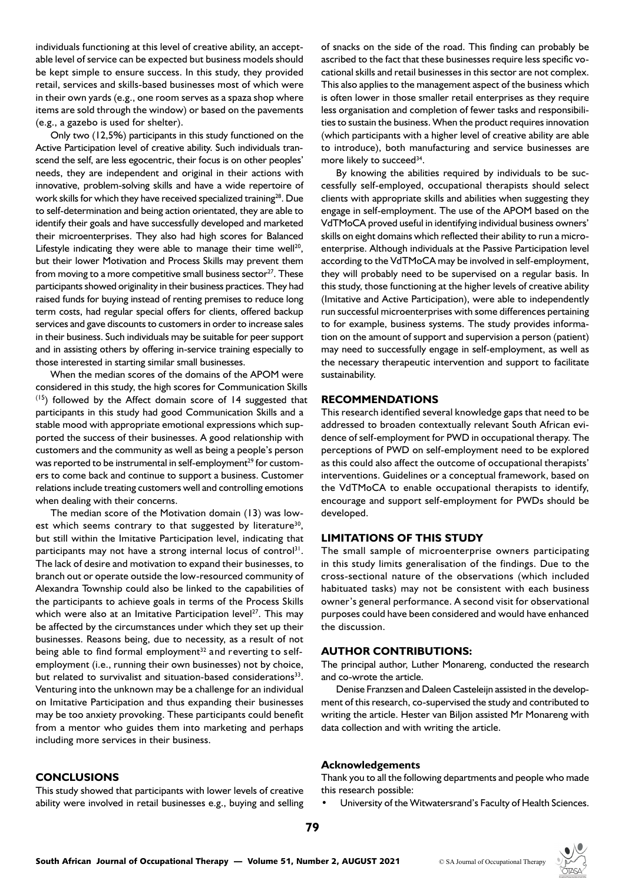individuals functioning at this level of creative ability, an acceptable level of service can be expected but business models should be kept simple to ensure success. In this study, they provided retail, services and skills-based businesses most of which were in their own yards (e.g., one room serves as a spaza shop where items are sold through the window) or based on the pavements (e.g., a gazebo is used for shelter).

Only two (12,5%) participants in this study functioned on the Active Participation level of creative ability. Such individuals transcend the self, are less egocentric, their focus is on other peoples' needs, they are independent and original in their actions with innovative, problem-solving skills and have a wide repertoire of work skills for which they have received specialized training<sup>28</sup>. Due to self-determination and being action orientated, they are able to identify their goals and have successfully developed and marketed their microenterprises. They also had high scores for Balanced Lifestyle indicating they were able to manage their time well<sup>20</sup>, but their lower Motivation and Process Skills may prevent them from moving to a more competitive small business sector<sup>27</sup>. These participants showed originality in their business practices. They had raised funds for buying instead of renting premises to reduce long term costs, had regular special offers for clients, offered backup services and gave discounts to customers in order to increase sales in their business. Such individuals may be suitable for peer support and in assisting others by offering in-service training especially to those interested in starting similar small businesses.

When the median scores of the domains of the APOM were considered in this study, the high scores for Communication Skills  $(15)$  followed by the Affect domain score of 14 suggested that participants in this study had good Communication Skills and a stable mood with appropriate emotional expressions which supported the success of their businesses. A good relationship with customers and the community as well as being a people's person was reported to be instrumental in self-employment<sup>29</sup> for customers to come back and continue to support a business. Customer relations include treating customers well and controlling emotions when dealing with their concerns.

The median score of the Motivation domain (13) was lowest which seems contrary to that suggested by literature<sup>30</sup>, but still within the Imitative Participation level, indicating that participants may not have a strong internal locus of control<sup>31</sup>. The lack of desire and motivation to expand their businesses, to branch out or operate outside the low-resourced community of Alexandra Township could also be linked to the capabilities of the participants to achieve goals in terms of the Process Skills which were also at an Imitative Participation level $27$ . This may be affected by the circumstances under which they set up their businesses. Reasons being, due to necessity, as a result of not being able to find formal employment<sup>32</sup> and reverting to selfemployment (i.e., running their own businesses) not by choice, but related to survivalist and situation-based considerations<sup>33</sup>. Venturing into the unknown may be a challenge for an individual on Imitative Participation and thus expanding their businesses may be too anxiety provoking. These participants could benefit from a mentor who guides them into marketing and perhaps including more services in their business.

#### **CONCLUSIONS**

This study showed that participants with lower levels of creative ability were involved in retail businesses e.g., buying and selling of snacks on the side of the road. This finding can probably be ascribed to the fact that these businesses require less specific vocational skills and retail businesses in this sector are not complex. This also applies to the management aspect of the business which is often lower in those smaller retail enterprises as they require less organisation and completion of fewer tasks and responsibilities to sustain the business. When the product requires innovation (which participants with a higher level of creative ability are able to introduce), both manufacturing and service businesses are more likely to succeed<sup>34</sup>.

By knowing the abilities required by individuals to be successfully self-employed, occupational therapists should select clients with appropriate skills and abilities when suggesting they engage in self-employment. The use of the APOM based on the VdTMoCA proved useful in identifying individual business owners' skills on eight domains which reflected their ability to run a microenterprise. Although individuals at the Passive Participation level according to the VdTMoCA may be involved in self-employment, they will probably need to be supervised on a regular basis. In this study, those functioning at the higher levels of creative ability (Imitative and Active Participation), were able to independently run successful microenterprises with some differences pertaining to for example, business systems. The study provides information on the amount of support and supervision a person (patient) may need to successfully engage in self-employment, as well as the necessary therapeutic intervention and support to facilitate sustainability.

#### **RECOMMENDATIONS**

This research identified several knowledge gaps that need to be addressed to broaden contextually relevant South African evidence of self-employment for PWD in occupational therapy. The perceptions of PWD on self-employment need to be explored as this could also affect the outcome of occupational therapists' interventions. Guidelines or a conceptual framework, based on the VdTMoCA to enable occupational therapists to identify, encourage and support self-employment for PWDs should be developed.

# **LIMITATIONS OF THIS STUDY**

The small sample of microenterprise owners participating in this study limits generalisation of the findings. Due to the cross-sectional nature of the observations (which included habituated tasks) may not be consistent with each business owner's general performance. A second visit for observational purposes could have been considered and would have enhanced the discussion.

#### **AUTHOR CONTRIBUTIONS:**

The principal author, Luther Monareng, conducted the research and co-wrote the article.

Denise Franzsen and Daleen Casteleijn assisted in the development of this research, co-supervised the study and contributed to writing the article. Hester van Biljon assisted Mr Monareng with data collection and with writing the article.

#### **Acknowledgements**

Thank you to all the following departments and people who made this research possible:

University of the Witwatersrand's Faculty of Health Sciences.

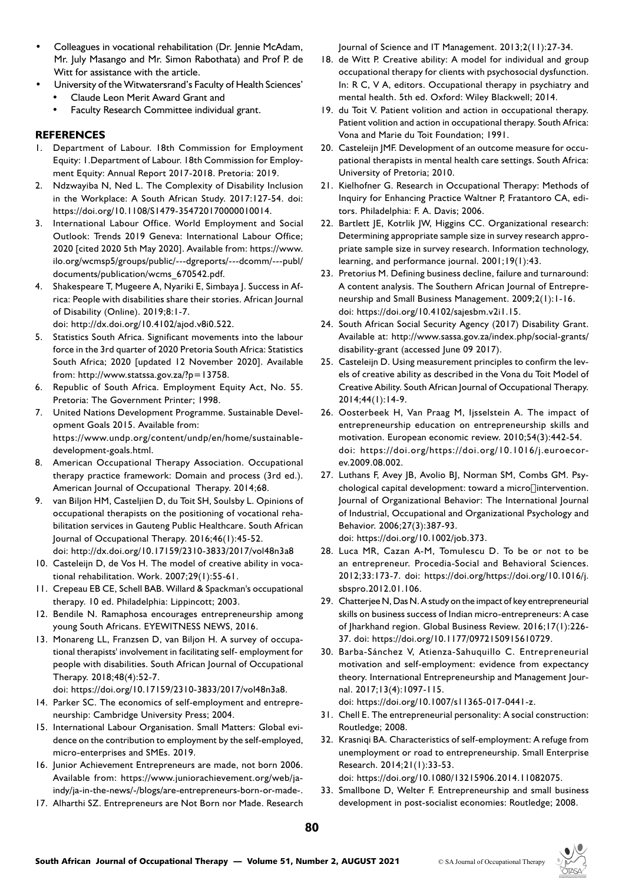- Colleagues in vocational rehabilitation (Dr. Jennie McAdam, Mr. July Masango and Mr. Simon Rabothata) and Prof P. de Witt for assistance with the article.
- University of the Witwatersrand's Faculty of Health Sciences'
	- Claude Leon Merit Award Grant and
	- Faculty Research Committee individual grant.

## **REFERENCES**

- 1. Department of Labour. 18th Commission for Employment Equity: 1.Department of Labour. 18th Commission for Employment Equity: Annual Report 2017-2018. Pretoria: 2019.
- 2. Ndzwayiba N, Ned L. The Complexity of Disability Inclusion in the Workplace: A South African Study. 2017:127-54. doi: https://doi.org/10.1108/S1479-354720170000010014.
- 3. International Labour Office. World Employment and Social Outlook: Trends 2019 Geneva: International Labour Office; 2020 [cited 2020 5th May 2020]. Available from: https://www. ilo.org/wcmsp5/groups/public/---dgreports/---dcomm/---publ/ documents/publication/wcms\_670542.pdf.
- 4. Shakespeare T, Mugeere A, Nyariki E, Simbaya J. Success in Africa: People with disabilities share their stories. African Journal of Disability (Online). 2019;8:1-7.

doi: http://dx.doi.org/10.4102/ajod.v8i0.522.

- 5. Statistics South Africa. Significant movements into the labour force in the 3rd quarter of 2020 Pretoria South Africa: Statistics South Africa; 2020 [updated 12 November 2020]. Available from: http://www.statssa.gov.za/?p=13758.
- 6. Republic of South Africa. Employment Equity Act, No. 55. Pretoria: The Government Printer; 1998.
- 7. United Nations Development Programme. Sustainable Development Goals 2015. Available from: https://www.undp.org/content/undp/en/home/sustainabledevelopment-goals.html.
- 8. American Occupational Therapy Association. Occupational therapy practice framework: Domain and process (3rd ed.). American Journal of Occupational Therapy. 2014;68.
- 9. van Biljon HM, Casteljien D, du Toit SH, Soulsby L. Opinions of occupational therapists on the positioning of vocational rehabilitation services in Gauteng Public Healthcare. South African Journal of Occupational Therapy. 2016;46(1):45-52. doi: http://dx.doi.org/10.17159/2310-3833/2017/vol48n3a8
- 10. Casteleijn D, de Vos H. The model of creative ability in vocational rehabilitation. Work. 2007;29(1):55-61.
- 11. Crepeau EB CE, Schell BAB. Willard & Spackman's occupational therapy. 10 ed. Philadelphia: Lippincott; 2003.
- 12. Bendile N. Ramaphosa encourages entrepreneurship among young South Africans. EYEWITNESS NEWS, 2016.
- 13. Monareng LL, Franzsen D, van Biljon H. A survey of occupational therapists' involvement in facilitating self- employment for people with disabilities. South African Journal of Occupational Therapy. 2018;48(4):52-7.

doi: https://doi.org/10.17159/2310-3833/2017/vol48n3a8.

- 14. Parker SC. The economics of self-employment and entrepreneurship: Cambridge University Press; 2004.
- 15. International Labour Organisation. Small Matters: Global evidence on the contribution to employment by the self-employed, micro-enterprises and SMEs. 2019.
- 16. Junior Achievement Entrepreneurs are made, not born 2006. Available from: https://www.juniorachievement.org/web/jaindy/ja-in-the-news/-/blogs/are-entrepreneurs-born-or-made-.
- 17. Alharthi SZ. Entrepreneurs are Not Born nor Made. Research

Journal of Science and IT Management. 2013;2(11):27-34.

- 18. de Witt P. Creative ability: A model for individual and group occupational therapy for clients with psychosocial dysfunction. In: R C, V A, editors. Occupational therapy in psychiatry and mental health. 5th ed. Oxford: Wiley Blackwell; 2014.
- 19. du Toit V. Patient volition and action in occupational therapy. Patient volition and action in occupational therapy. South Africa: Vona and Marie du Toit Foundation; 1991.
- 20. Casteleijn JMF. Development of an outcome measure for occupational therapists in mental health care settings. South Africa: University of Pretoria; 2010.
- 21. Kielhofner G. Research in Occupational Therapy: Methods of Inquiry for Enhancing Practice Waltner P, Fratantoro CA, editors. Philadelphia: F. A. Davis; 2006.
- 22. Bartlett JE, Kotrlik JW, Higgins CC. Organizational research: Determining appropriate sample size in survey research appropriate sample size in survey research. Information technology, learning, and performance journal. 2001;19(1):43.
- 23. Pretorius M. Defining business decline, failure and turnaround: A content analysis. The Southern African Journal of Entrepreneurship and Small Business Management. 2009;2(1):1-16. doi: https://doi.org/10.4102/sajesbm.v2i1.15.
- 24. South African Social Security Agency (2017) Disability Grant. Available at: http://www.sassa.gov.za/index.php/social-grants/ disability-grant (accessed June 09 2017).
- 25. Casteleijn D. Using measurement principles to confirm the levels of creative ability as described in the Vona du Toit Model of Creative Ability. South African Journal of Occupational Therapy. 2014;44(1):14-9.
- 26. Oosterbeek H, Van Praag M, Ijsselstein A. The impact of entrepreneurship education on entrepreneurship skills and motivation. European economic review. 2010;54(3):442-54. doi: https://doi.org/https://doi.org/10.1016/j.euroecorev.2009.08.002.
- 27. Luthans F, Avey JB, Avolio BJ, Norman SM, Combs GM. Psychological capital development: toward a microlintervention. Journal of Organizational Behavior: The International Journal of Industrial, Occupational and Organizational Psychology and Behavior. 2006;27(3):387-93. doi: https://doi.org/10.1002/job.373.
- 28. Luca MR, Cazan A-M, Tomulescu D. To be or not to be an entrepreneur. Procedia-Social and Behavioral Sciences. 2012;33:173-7. doi: https://doi.org/https://doi.org/10.1016/j. sbspro.2012.01.106.
- 29. Chatterjee N, Das N. A study on the impact of key entrepreneurial skills on business success of Indian micro-entrepreneurs: A case of Jharkhand region. Global Business Review. 2016;17(1):226- 37. doi: https://doi.org/10.1177/0972150915610729.
- 30. Barba-Sánchez V, Atienza-Sahuquillo C. Entrepreneurial motivation and self-employment: evidence from expectancy theory. International Entrepreneurship and Management Journal. 2017;13(4):1097-115.

doi: https://doi.org/10.1007/s11365-017-0441-z.

- 31. Chell E. The entrepreneurial personality: A social construction: Routledge; 2008.
- 32. Krasniqi BA. Characteristics of self-employment: A refuge from unemployment or road to entrepreneurship. Small Enterprise Research. 2014;21(1):33-53. doi: https://doi.org/10.1080/13215906.2014.11082075.
- 33. Smallbone D, Welter F. Entrepreneurship and small business development in post-socialist economies: Routledge; 2008.